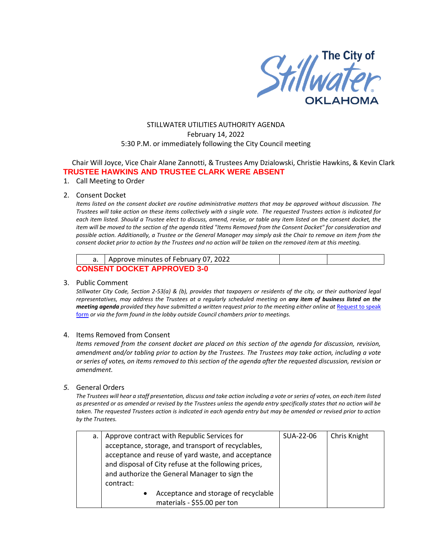

# STILLWATER UTILITIES AUTHORITY AGENDA February 14, 2022 5:30 P.M. or immediately following the City Council meeting

Chair Will Joyce, Vice Chair Alane Zannotti, & Trustees Amy Dzialowski, Christie Hawkins, & Kevin Clark **TRUSTEE HAWKINS AND TRUSTEE CLARK WERE ABSENT** 

1. Call Meeting to Order

### 2. Consent Docket

*Items listed on the consent docket are routine administrative matters that may be approved without discussion. The Trustees will take action on these items collectively with a single vote. The requested Trustees action is indicated for each item listed. Should a Trustee elect to discuss, amend, revise, or table any item listed on the consent docket, the item will be moved to the section of the agenda titled "Items Removed from the Consent Docket" for consideration and possible action. Additionally, a Trustee or the General Manager may simply ask the Chair to remove an item from the consent docket prior to action by the Trustees and no action will be taken on the removed item at this meeting.*

|                                    | Approve minutes of February 07, 2022 |  |  |  |  |
|------------------------------------|--------------------------------------|--|--|--|--|
| <b>CONSENT DOCKET APPROVED 3-0</b> |                                      |  |  |  |  |

### 3. Public Comment

*Stillwater City Code, Section 2-53(a) & (b), provides that taxpayers or residents of the city, or their authorized legal representatives, may address the Trustees at a regularly scheduled meeting on any item of business listed on the meeting agenda provided they have submitted a written request prior to the meeting either online at Request to speak* [form](http://stillwater.org/page/home/government/mayor-city-council/meetings-agendas-minutes/online-request-to-speak-at-city-council) *or via the form found in the lobby outside Council chambers prior to meetings.*

## 4. Items Removed from Consent

*Items removed from the consent docket are placed on this section of the agenda for discussion, revision, amendment and/or tabling prior to action by the Trustees. The Trustees may take action, including a vote or series of votes, on items removed to this section of the agenda after the requested discussion, revision or amendment.* 

### *5.* General Orders

*The Trustees will hear a staff presentation, discuss and take action including a vote or series of votes, on each item listed as presented or as amended or revised by the Trustees unless the agenda entry specifically states that no action will be taken. The requested Trustees action is indicated in each agenda entry but may be amended or revised prior to action by the Trustees.* 

| a. | Approve contract with Republic Services for                                                                                                                                                                                    | SUA-22-06 | Chris Knight |
|----|--------------------------------------------------------------------------------------------------------------------------------------------------------------------------------------------------------------------------------|-----------|--------------|
|    | acceptance, storage, and transport of recyclables,<br>acceptance and reuse of yard waste, and acceptance<br>and disposal of City refuse at the following prices,<br>and authorize the General Manager to sign the<br>contract: |           |              |
|    | Acceptance and storage of recyclable<br>materials - \$55.00 per ton                                                                                                                                                            |           |              |